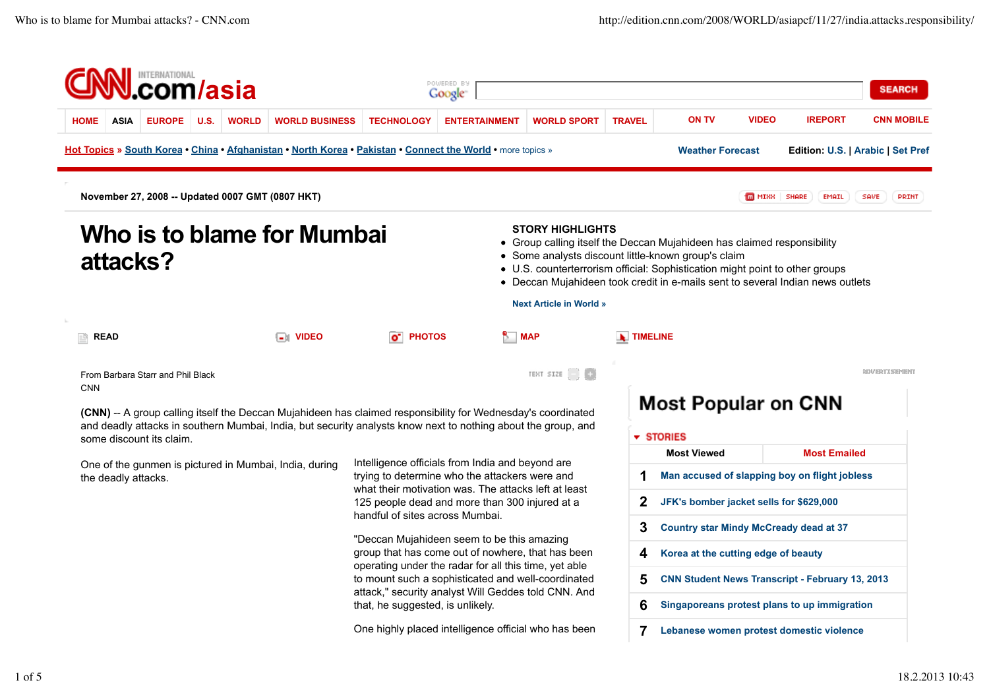

**7 Lebanese women protest domestic violence**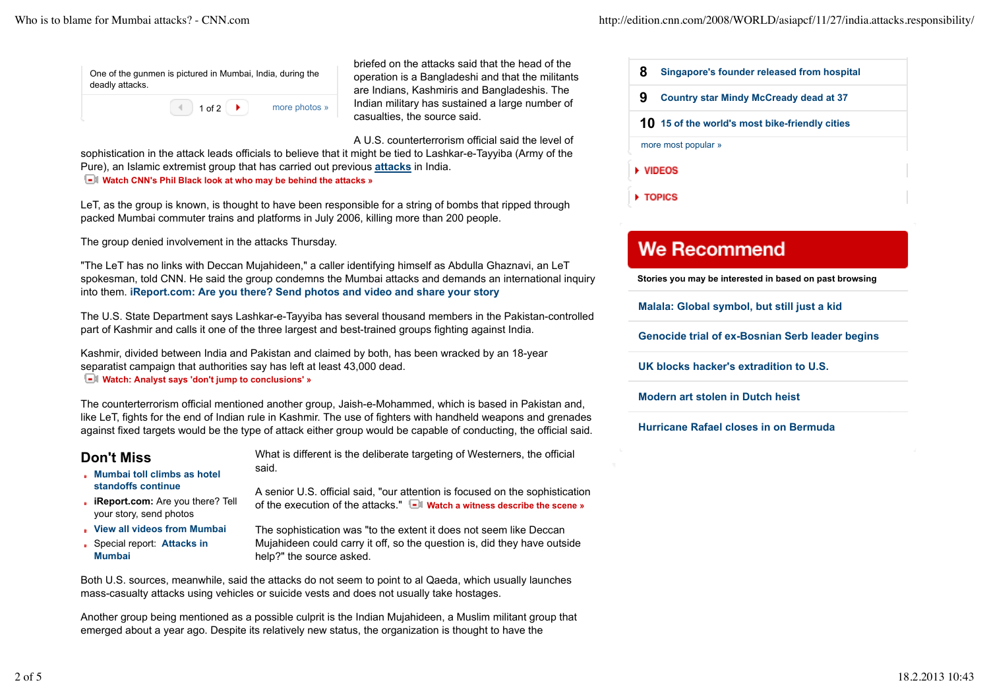One of the gunmen is pictured in Mumbai, India, during the deadly attacks.

|  | 10f2 | more photos » |
|--|------|---------------|
|  |      |               |

briefed on the attacks said that the head of the operation is a Bangladeshi and that the militants are Indians, Kashmiris and Bangladeshis. The Indian military has sustained a large number of casualties, the source said.

A U.S. counterterrorism official said the level of

sophistication in the attack leads officials to believe that it might be tied to Lashkar-e-Tayyiba (Army of the Pure), an Islamic extremist group that has carried out previous **attacks** in India. **Watch CNN's Phil Black look at who may be behind the attacks »**

LeT, as the group is known, is thought to have been responsible for a string of bombs that ripped through packed Mumbai commuter trains and platforms in July 2006, killing more than 200 people.

The group denied involvement in the attacks Thursday.

"The LeT has no links with Deccan Mujahideen," a caller identifying himself as Abdulla Ghaznavi, an LeT spokesman, told CNN. He said the group condemns the Mumbai attacks and demands an international inquiry into them. **iReport.com: Are you there? Send photos and video and share your story**

The U.S. State Department says Lashkar-e-Tayyiba has several thousand members in the Pakistan-controlled part of Kashmir and calls it one of the three largest and best-trained groups fighting against India.

Kashmir, divided between India and Pakistan and claimed by both, has been wracked by an 18-year separatist campaign that authorities say has left at least 43,000 dead.

**Watch: Analyst says 'don't jump to conclusions' »**

The counterterrorism official mentioned another group, Jaish-e-Mohammed, which is based in Pakistan and, like LeT, fights for the end of Indian rule in Kashmir. The use of fighters with handheld weapons and grenades against fixed targets would be the type of attack either group would be capable of conducting, the official said.

## **Don't Miss**

What is different is the deliberate targeting of Westerners, the official said.

**Mumbai toll climbs as hotel standoffs continue iReport.com:** Are you there? Tell

A senior U.S. official said, "our attention is focused on the sophistication of the execution of the attacks." **Watch a witness describe the scene »**

- **View all videos from Mumbai**
- Special report: **Attacks in Mumbai**

your story, send photos

The sophistication was "to the extent it does not seem like Deccan Mujahideen could carry it off, so the question is, did they have outside help?" the source asked.

Both U.S. sources, meanwhile, said the attacks do not seem to point to al Qaeda, which usually launches mass-casualty attacks using vehicles or suicide vests and does not usually take hostages.

Another group being mentioned as a possible culprit is the Indian Mujahideen, a Muslim militant group that emerged about a year ago. Despite its relatively new status, the organization is thought to have the

- **8 Singapore's founder released from hospital**
- **9 Country star Mindy McCready dead at 37**
- **10 15 of the world's most bike-friendly cities**

more most popular »

**NIDEOS** 

TOPICS

## **We Recommend**

**Stories you may be interested in based on past browsing**

**Malala: Global symbol, but still just a kid**

**Genocide trial of ex-Bosnian Serb leader begins**

**UK blocks hacker's extradition to U.S.**

**Modern art stolen in Dutch heist**

**Hurricane Rafael closes in on Bermuda**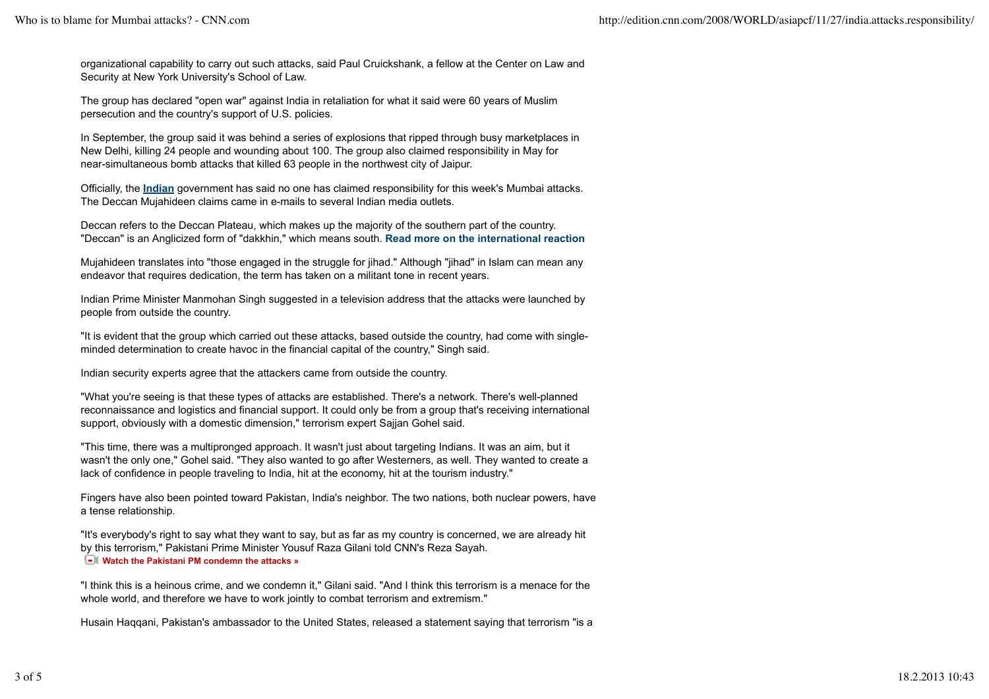organizational capability to carry out such attacks, said Paul Cruickshank, a fellow at the Center on Law and Security at New York University's School of Law.

The group has declared "open war" against India in retaliation for what it said were 60 years of Muslim persecution and the country's support of U.S. policies.

In September, the group said it was behind a series of explosions that ripped through busy marketplaces in New Delhi, killing 24 people and wounding about 100. The group also claimed responsibility in May for near-simultaneous bomb attacks that killed 63 people in the northwest city of Jaipur.

Officially, the **Indian** government has said no one has claimed responsibility for this week's Mumbai attacks. The Deccan Mujahideen claims came in e-mails to several Indian media outlets.

Deccan refers to the Deccan Plateau, which makes up the majority of the southern part of the country. "Deccan" is an Anglicized form of "dakkhin," which means south. **Read more on the international reaction**

Mujahideen translates into "those engaged in the struggle for jihad." Although "jihad" in Islam can mean any endeavor that requires dedication, the term has taken on a militant tone in recent years.

Indian Prime Minister Manmohan Singh suggested in a television address that the attacks were launched by people from outside the country.

"It is evident that the group which carried out these attacks, based outside the country, had come with singleminded determination to create havoc in the financial capital of the country," Singh said.

Indian security experts agree that the attackers came from outside the country.

"What you're seeing is that these types of attacks are established. There's a network. There's well-planned reconnaissance and logistics and financial support. It could only be from a group that's receiving international support, obviously with a domestic dimension," terrorism expert Sajjan Gohel said.

"This time, there was a multipronged approach. It wasn't just about targeting Indians. It was an aim, but it wasn't the only one," Gohel said. "They also wanted to go after Westerners, as well. They wanted to create a lack of confidence in people traveling to India, hit at the economy, hit at the tourism industry."

Fingers have also been pointed toward Pakistan, India's neighbor. The two nations, both nuclear powers, have a tense relationship.

"It's everybody's right to say what they want to say, but as far as my country is concerned, we are already hit by this terrorism," Pakistani Prime Minister Yousuf Raza Gilani told CNN's Reza Sayah. **Watch the Pakistani PM condemn the attacks »** 

"I think this is a heinous crime, and we condemn it," Gilani said. "And I think this terrorism is a menace for the whole world, and therefore we have to work jointly to combat terrorism and extremism."

Husain Haqqani, Pakistan's ambassador to the United States, released a statement saying that terrorism "is a